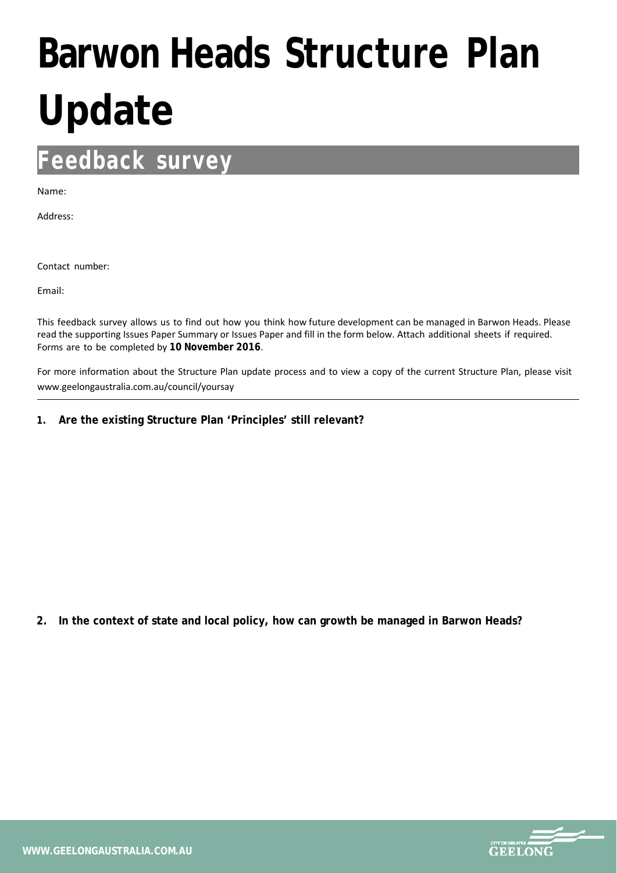## **Barwon Heads Structure Plan Update**

## **Feedback survey**

Name:

Address:

Contact number:

Email:

This feedback survey allows us to find out how you think how future development can be managed in Barwon Heads. Please read the supporting Issues Paper Summary or Issues Paper and fill in the form below. Attach additional sheets if required. Forms are to be completed by **10 November 2016**.

For more information about the Structure Plan update process and to view a copy of the current Structure Plan, please visit www.geelongaustralia.com.au/council/yoursay

**1. Are the existing Structure Plan 'Principles' still relevant?** 

**2. In the context of state and local policy, how can growth be managed in Barwon Heads?**

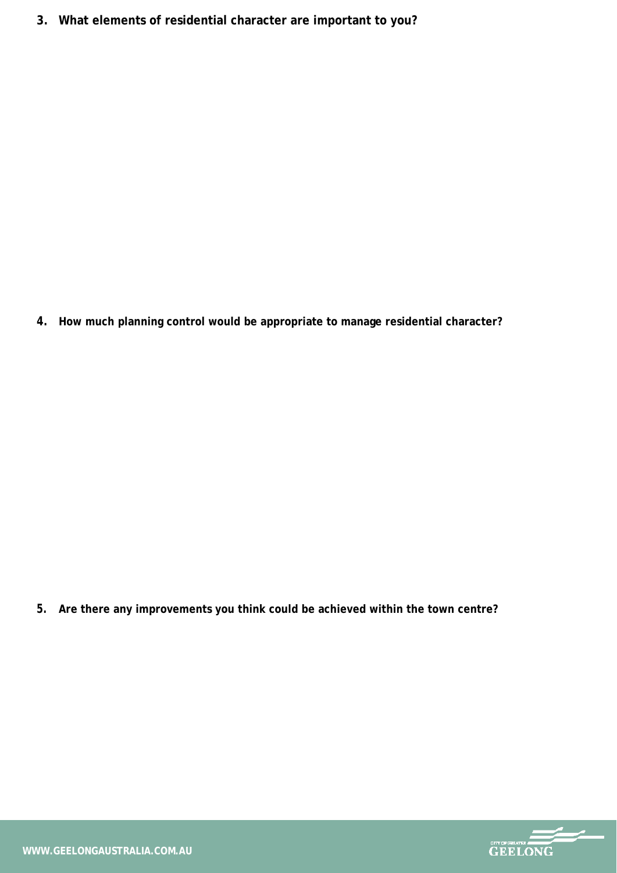**3. What elements of residential character are important to you?** 

**4. How much planning control would be appropriate to manage residential character?**

**5. Are there any improvements you think could be achieved within the town centre?**

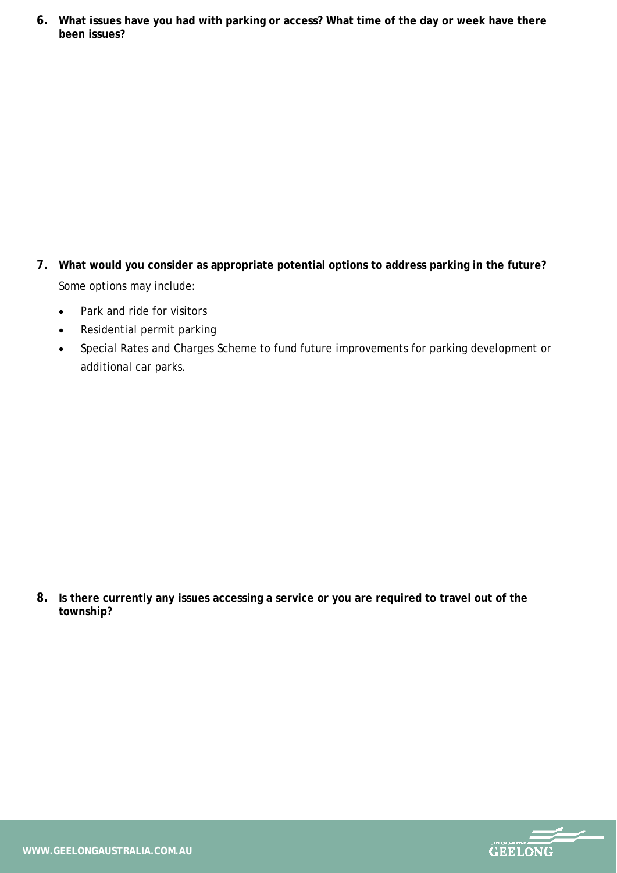**6. What issues have you had with parking or access? What time of the day or week have there been issues?**

- **7. What would you consider as appropriate potential options to address parking in the future?** Some options may include:
	- Park and ride for visitors
	- Residential permit parking
	- Special Rates and Charges Scheme to fund future improvements for parking development or additional car parks.

**8. Is there currently any issues accessing a service or you are required to travel out of the township?**